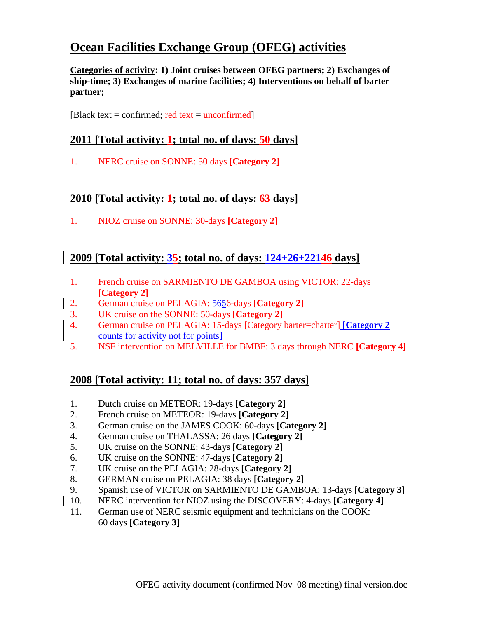# **Ocean Facilities Exchange Group (OFEG) activities**

**Categories of activity: 1) Joint cruises between OFEG partners; 2) Exchanges of ship-time; 3) Exchanges of marine facilities; 4) Interventions on behalf of barter partner;** 

[Black text = confirmed; red text = unconfirmed]

# **2011 [Total activity: 1; total no. of days: 50 days]**

1. NERC cruise on SONNE: 50 days **[Category 2]**

### **2010 [Total activity: 1; total no. of days: 63 days]**

1. NIOZ cruise on SONNE: 30-days **[Category 2]**

# **2009 [Total activity: 35; total no. of days: 124+26+22146 days]**

- 1. French cruise on SARMIENTO DE GAMBOA using VICTOR: 22-days **[Category 2]**
- 2. German cruise on PELAGIA: 5656-days **[Category 2]**
- 3. UK cruise on the SONNE: 50-days **[Category 2]**
- 4. German cruise on PELAGIA: 15-days [Category barter=charter] [**Category 2** counts for activity not for points]
- 5. NSF intervention on MELVILLE for BMBF: 3 days through NERC **[Category 4]**

### **2008 [Total activity: 11; total no. of days: 357 days]**

- 1. Dutch cruise on METEOR: 19-days **[Category 2]**
- 2. French cruise on METEOR: 19-days **[Category 2]**
- 3. German cruise on the JAMES COOK: 60-days **[Category 2]**
- 4. German cruise on THALASSA: 26 days **[Category 2]**
- 5. UK cruise on the SONNE: 43-days **[Category 2]**
- 6. UK cruise on the SONNE: 47-days **[Category 2]**
- 7. UK cruise on the PELAGIA: 28-days **[Category 2]**
- 8. GERMAN cruise on PELAGIA: 38 days **[Category 2]**
- 9. Spanish use of VICTOR on SARMIENTO DE GAMBOA: 13-days **[Category 3]**
- 10. NERC intervention for NIOZ using the DISCOVERY: 4-days **[Category 4]**
- 11. German use of NERC seismic equipment and technicians on the COOK: 60 days **[Category 3]**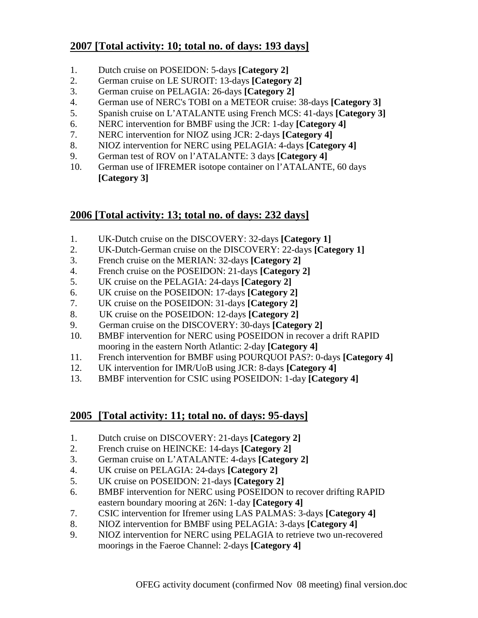# **2007 [Total activity: 10; total no. of days: 193 days]**

- 1. Dutch cruise on POSEIDON: 5-days **[Category 2]**
- 2. German cruise on LE SUROIT: 13-days **[Category 2]**
- 3. German cruise on PELAGIA: 26-days **[Category 2]**
- 4. German use of NERC's TOBI on a METEOR cruise: 38-days **[Category 3]**
- 5. Spanish cruise on L'ATALANTE using French MCS: 41-days **[Category 3]**
- 6. NERC intervention for BMBF using the JCR: 1-day **[Category 4]**
- 7. NERC intervention for NIOZ using JCR: 2-days **[Category 4]**
- 8. NIOZ intervention for NERC using PELAGIA: 4-days **[Category 4]**
- 9. German test of ROV on l'ATALANTE: 3 days **[Category 4]**
- 10. German use of IFREMER isotope container on l'ATALANTE, 60 days **[Category 3]**

### **2006 [Total activity: 13; total no. of days: 232 days]**

- 1. UK-Dutch cruise on the DISCOVERY: 32-days **[Category 1]**
- 2. UK-Dutch-German cruise on the DISCOVERY: 22-days **[Category 1]**
- 3. French cruise on the MERIAN: 32-days **[Category 2]**
- 4. French cruise on the POSEIDON: 21-days **[Category 2]**
- 5. UK cruise on the PELAGIA: 24-days **[Category 2]**
- 6. UK cruise on the POSEIDON: 17-days **[Category 2]**
- 7. UK cruise on the POSEIDON: 31-days **[Category 2]**
- 8. UK cruise on the POSEIDON: 12-days **[Category 2]**
- 9. German cruise on the DISCOVERY: 30-days **[Category 2]**
- 10. BMBF intervention for NERC using POSEIDON in recover a drift RAPID mooring in the eastern North Atlantic: 2-day **[Category 4]**
- 11. French intervention for BMBF using POURQUOI PAS?: 0-days **[Category 4]**
- 12. UK intervention for IMR/UoB using JCR: 8-days **[Category 4]**
- 13. BMBF intervention for CSIC using POSEIDON: 1-day **[Category 4]**

### **2005 [Total activity: 11; total no. of days: 95-days]**

- 1. Dutch cruise on DISCOVERY: 21-days **[Category 2]**
- 2. French cruise on HEINCKE: 14-days **[Category 2]**
- 3. German cruise on L'ATALANTE: 4-days **[Category 2]**
- 4. UK cruise on PELAGIA: 24-days **[Category 2]**
- 5. UK cruise on POSEIDON: 21-days **[Category 2]**
- 6. BMBF intervention for NERC using POSEIDON to recover drifting RAPID eastern boundary mooring at 26N: 1-day **[Category 4]**
- 7. CSIC intervention for Ifremer using LAS PALMAS: 3-days **[Category 4]**
- 8. NIOZ intervention for BMBF using PELAGIA: 3-days **[Category 4]**
- 9. NIOZ intervention for NERC using PELAGIA to retrieve two un-recovered moorings in the Faeroe Channel: 2-days **[Category 4]**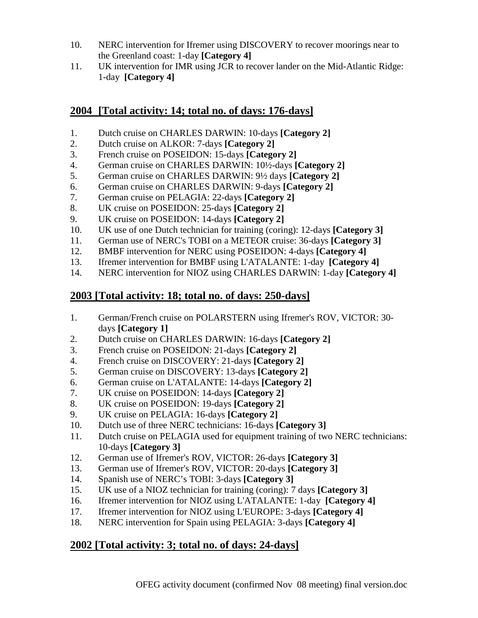- 10. NERC intervention for Ifremer using DISCOVERY to recover moorings near to the Greenland coast: 1-day **[Category 4]**
- 11. UK intervention for IMR using JCR to recover lander on the Mid-Atlantic Ridge: 1-day **[Category 4]**

# **2004 [Total activity: 14; total no. of days: 176-days]**

- 1. Dutch cruise on CHARLES DARWIN: 10-days **[Category 2]**
- 2. Dutch cruise on ALKOR: 7-days **[Category 2]**
- 3. French cruise on POSEIDON: 15-days **[Category 2]**
- 4. German cruise on CHARLES DARWIN: 10½-days **[Category 2]**
- 5. German cruise on CHARLES DARWIN: 9½ days **[Category 2]**
- 6. German cruise on CHARLES DARWIN: 9-days **[Category 2]**
- 7. German cruise on PELAGIA: 22-days **[Category 2]**
- 8. UK cruise on POSEIDON: 25-days **[Category 2]**
- 9. UK cruise on POSEIDON: 14-days **[Category 2]**
- 10. UK use of one Dutch technician for training (coring): 12-days **[Category 3]**
- 11. German use of NERC's TOBI on a METEOR cruise: 36-days **[Category 3]**
- 12. BMBF intervention for NERC using POSEIDON: 4-days **[Category 4]**
- 13. Ifremer intervention for BMBF using L'ATALANTE: 1-day **[Category 4]**
- 14. NERC intervention for NIOZ using CHARLES DARWIN: 1-day **[Category 4]**

# **2003 [Total activity: 18; total no. of days: 250-days]**

- 1. German/French cruise on POLARSTERN using Ifremer's ROV, VICTOR: 30 days **[Category 1]**
- 2. Dutch cruise on CHARLES DARWIN: 16-days **[Category 2]**
- 3. French cruise on POSEIDON: 21-days **[Category 2]**
- 4. French cruise on DISCOVERY: 21-days **[Category 2]**
- 5. German cruise on DISCOVERY: 13-days **[Category 2]**
- 6. German cruise on L'ATALANTE: 14-days **[Category 2]**
- 7. UK cruise on POSEIDON: 14-days **[Category 2]**
- 8. UK cruise on POSEIDON: 19-days **[Category 2]**
- 9. UK cruise on PELAGIA: 16-days **[Category 2]**
- 10. Dutch use of three NERC technicians: 16-days **[Category 3]**
- 11. Dutch cruise on PELAGIA used for equipment training of two NERC technicians: 10-days **[Category 3]**
- 12. German use of Ifremer's ROV, VICTOR: 26-days **[Category 3]**
- 13. German use of Ifremer's ROV, VICTOR: 20-days **[Category 3]**
- 14. Spanish use of NERC's TOBI: 3-days **[Category 3]**
- 15. UK use of a NIOZ technician for training (coring): 7 days **[Category 3]**
- 16. Ifremer intervention for NIOZ using L'ATALANTE: 1-day **[Category 4]**
- 17. Ifremer intervention for NIOZ using L'EUROPE: 3-days **[Category 4]**
- 18. NERC intervention for Spain using PELAGIA: 3-days **[Category 4]**

# **2002 [Total activity: 3; total no. of days: 24-days]**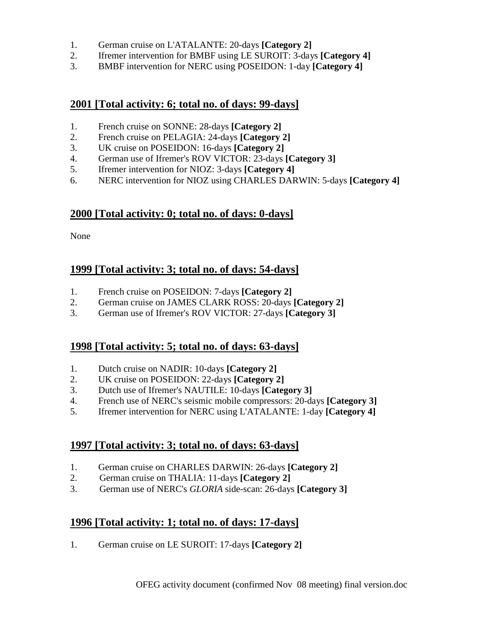- 1. German cruise on L'ATALANTE: 20-days **[Category 2]**
- 2. Ifremer intervention for BMBF using LE SUROIT: 3-days **[Category 4]**
- 3. BMBF intervention for NERC using POSEIDON: 1-day **[Category 4]**

#### **2001 [Total activity: 6; total no. of days: 99-days]**

- 1. French cruise on SONNE: 28-days **[Category 2]**
- 2. French cruise on PELAGIA: 24-days **[Category 2]**
- 3. UK cruise on POSEIDON: 16-days **[Category 2]**
- 4. German use of Ifremer's ROV VICTOR: 23-days **[Category 3]**
- 5. Ifremer intervention for NIOZ: 3-days **[Category 4]**
- 6. NERC intervention for NIOZ using CHARLES DARWIN: 5-days **[Category 4]**

### **2000 [Total activity: 0; total no. of days: 0-days]**

None

# **1999 [Total activity: 3; total no. of days: 54-days]**

- 1. French cruise on POSEIDON: 7-days **[Category 2]**
- 2. German cruise on JAMES CLARK ROSS: 20-days **[Category 2]**
- 3. German use of Ifremer's ROV VICTOR: 27-days **[Category 3]**

### **1998 [Total activity: 5; total no. of days: 63-days]**

- 1. Dutch cruise on NADIR: 10-days **[Category 2]**
- 2. UK cruise on POSEIDON: 22-days **[Category 2]**
- 3. Dutch use of Ifremer's NAUTILE: 10-days **[Category 3]**
- 4. French use of NERC's seismic mobile compressors: 20-days **[Category 3]**
- 5. Ifremer intervention for NERC using L'ATALANTE: 1-day **[Category 4]**

### **1997 [Total activity: 3; total no. of days: 63-days]**

- 1. German cruise on CHARLES DARWIN: 26-days **[Category 2]**
- 2. German cruise on THALIA: 11-days **[Category 2]**
- 3. German use of NERC's *GLORIA* side-scan: 26-days **[Category 3]**

### **1996 [Total activity: 1; total no. of days: 17-days]**

1. German cruise on LE SUROIT: 17-days **[Category 2]**